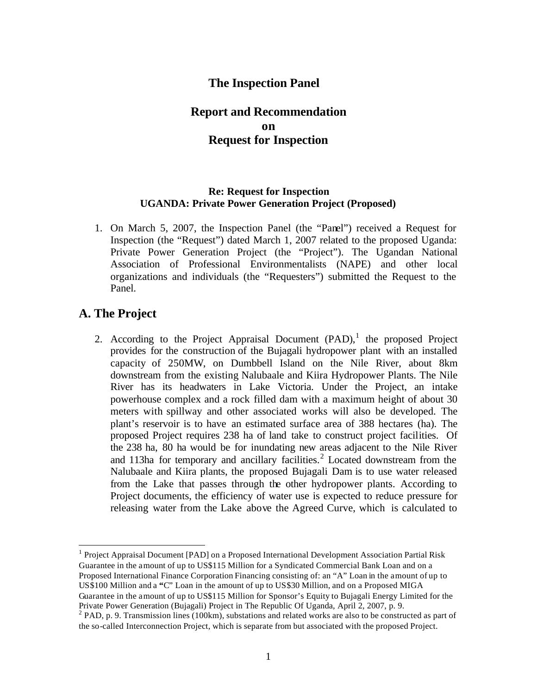## **The Inspection Panel**

## **Report and Recommendation on Request for Inspection**

#### **Re: Request for Inspection UGANDA: Private Power Generation Project (Proposed)**

1. On March 5, 2007, the Inspection Panel (the "Panel") received a Request for Inspection (the "Request") dated March 1, 2007 related to the proposed Uganda: Private Power Generation Project (the "Project"). The Ugandan National Association of Professional Environmentalists (NAPE) and other local organizations and individuals (the "Requesters") submitted the Request to the Panel.

## **A. The Project**

 $\overline{a}$ 

2. According to the Project Appraisal Document  $(PAD)$ , the proposed Project provides for the construction of the Bujagali hydropower plant with an installed capacity of 250MW, on Dumbbell Island on the Nile River, about 8km downstream from the existing Nalubaale and Kiira Hydropower Plants. The Nile River has its headwaters in Lake Victoria. Under the Project, an intake powerhouse complex and a rock filled dam with a maximum height of about 30 meters with spillway and other associated works will also be developed. The plant's reservoir is to have an estimated surface area of 388 hectares (ha). The proposed Project requires 238 ha of land take to construct project facilities. Of the 238 ha, 80 ha would be for inundating new areas adjacent to the Nile River and 113ha for temporary and ancillary facilities.<sup>2</sup> Located downstream from the Nalubaale and Kiira plants, the proposed Bujagali Dam is to use water released from the Lake that passes through the other hydropower plants. According to Project documents, the efficiency of water use is expected to reduce pressure for releasing water from the Lake above the Agreed Curve, which is calculated to

<sup>1</sup> Project Appraisal Document [PAD] on a Proposed International Development Association Partial Risk Guarantee in the amount of up to US\$115 Million for a Syndicated Commercial Bank Loan and on a Proposed International Finance Corporation Financing consisting of: an "A" Loan in the amount of up to US\$100 Million and a **"**C" Loan in the amount of up to US\$30 Million, and on a Proposed MIGA Guarantee in the amount of up to US\$115 Million for Sponsor's Equity to Bujagali Energy Limited for the Private Power Generation (Bujagali) Project in The Republic Of Uganda, April 2, 2007, p. 9.

<sup>&</sup>lt;sup>2</sup> PAD, p. 9. Transmission lines (100km), substations and related works are also to be constructed as part of the so-called Interconnection Project, which is separate from but associated with the proposed Project.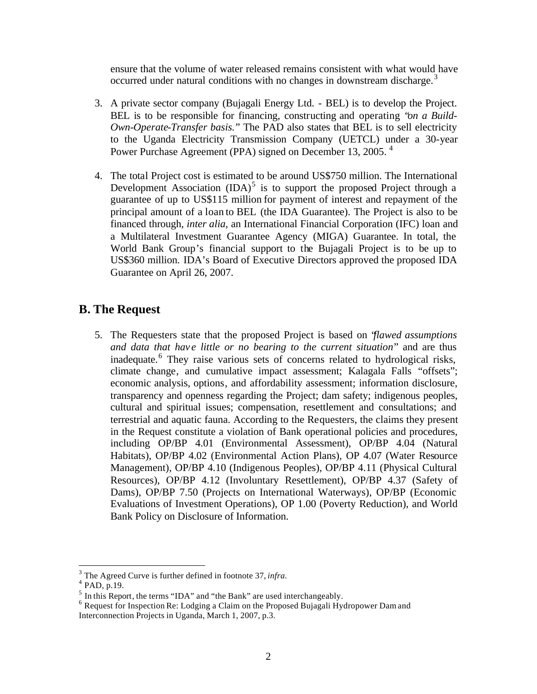ensure that the volume of water released remains consistent with what would have occurred under natural conditions with no changes in downstream discharge.<sup>3</sup>

- 3. A private sector company (Bujagali Energy Ltd. BEL) is to develop the Project. BEL is to be responsible for financing, constructing and operating "*on a Build-Own-Operate-Transfer basis.*" The PAD also states that BEL is to sell electricity to the Uganda Electricity Transmission Company (UETCL) under a 30-year Power Purchase Agreement (PPA) signed on December 13, 2005.<sup>4</sup>
- 4. The total Project cost is estimated to be around US\$750 million. The International Development Association  $(IDA)^5$  is to support the proposed Project through a guarantee of up to US\$115 million for payment of interest and repayment of the principal amount of a loan to BEL (the IDA Guarantee). The Project is also to be financed through, *inter alia*, an International Financial Corporation (IFC) loan and a Multilateral Investment Guarantee Agency (MIGA) Guarantee. In total, the World Bank Group's financial support to the Bujagali Project is to be up to US\$360 million. IDA's Board of Executive Directors approved the proposed IDA Guarantee on April 26, 2007.

# **B. The Request**

5. The Requesters state that the proposed Project is based on "*flawed assumptions and data that hav e little or no bearing to the current situation*" and are thus inadequate.<sup>6</sup> They raise various sets of concerns related to hydrological risks, climate change, and cumulative impact assessment; Kalagala Falls "offsets"; economic analysis, options, and affordability assessment; information disclosure, transparency and openness regarding the Project; dam safety; indigenous peoples, cultural and spiritual issues; compensation, resettlement and consultations; and terrestrial and aquatic fauna. According to the Requesters, the claims they present in the Request constitute a violation of Bank operational policies and procedures, including OP/BP 4.01 (Environmental Assessment), OP/BP 4.04 (Natural Habitats), OP/BP 4.02 (Environmental Action Plans), OP 4.07 (Water Resource Management), OP/BP 4.10 (Indigenous Peoples), OP/BP 4.11 (Physical Cultural Resources), OP/BP 4.12 (Involuntary Resettlement), OP/BP 4.37 (Safety of Dams), OP/BP 7.50 (Projects on International Waterways), OP/BP (Economic Evaluations of Investment Operations), OP 1.00 (Poverty Reduction), and World Bank Policy on Disclosure of Information.

<sup>3</sup> The Agreed Curve is further defined in footnote 37, *infra.*

<sup>4</sup> PAD, p.19.

 $<sup>5</sup>$  In this Report, the terms "IDA" and "the Bank" are used interchangeably.</sup>

<sup>&</sup>lt;sup>6</sup> Request for Inspection Re: Lodging a Claim on the Proposed Bujagali Hydropower Dam and Interconnection Projects in Uganda, March 1, 2007, p.3.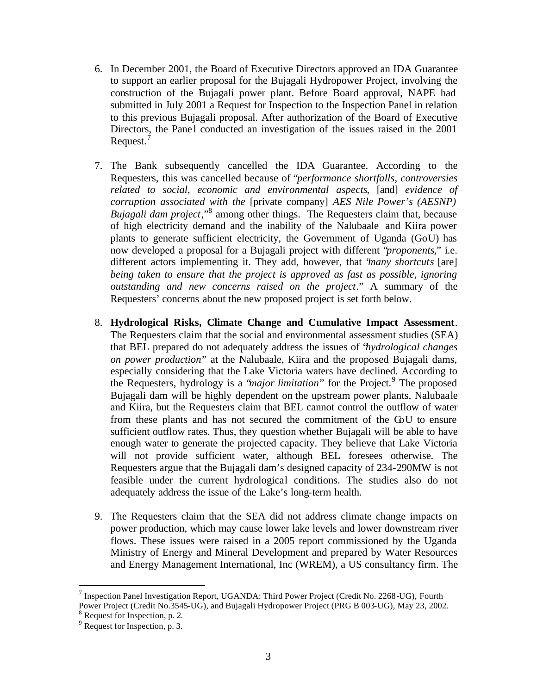- 6. In December 2001, the Board of Executive Directors approved an IDA Guarantee to support an earlier proposal for the Bujagali Hydropower Project, involving the construction of the Bujagali power plant. Before Board approval, NAPE had submitted in July 2001 a Request for Inspection to the Inspection Panel in relation to this previous Bujagali proposal. After authorization of the Board of Executive Directors, the Panel conducted an investigation of the issues raised in the 2001 Request.<sup>7</sup>
- 7. The Bank subsequently cancelled the IDA Guarantee. According to the Requesters, this was cancelled because of "*performance shortfalls, controversies related to social, economic and environmental aspects*, [and] *evidence of corruption associated with the* [private company] *AES Nile Power's (AESNP)*  Bujagali dam project,"<sup>8</sup> among other things. The Requesters claim that, because of high electricity demand and the inability of the Nalubaale and Kiira power plants to generate sufficient electricity, the Government of Uganda (GoU) has now developed a proposal for a Bujagali project with different "*proponents*," i.e. different actors implementing it. They add, however, that "*many shortcuts* [are] *being taken to ensure that the project is approved as fast as possible, ignoring outstanding and new concerns raised on the project*." A summary of the Requesters' concerns about the new proposed project is set forth below.
- 8. **Hydrological Risks, Climate Change and Cumulative Impact Assessment**. The Requesters claim that the social and environmental assessment studies (SEA) that BEL prepared do not adequately address the issues of "*hydrological changes on power production*" at the Nalubaale, Kiira and the proposed Bujagali dams, especially considering that the Lake Victoria waters have declined. According to the Requesters, hydrology is a *'major limitation*" for the Project.<sup>9</sup> The proposed Bujagali dam will be highly dependent on the upstream power plants, Nalubaale and Kiira, but the Requesters claim that BEL cannot control the outflow of water from these plants and has not secured the commitment of the GoU to ensure sufficient outflow rates. Thus, they question whether Bujagali will be able to have enough water to generate the projected capacity. They believe that Lake Victoria will not provide sufficient water, although BEL foresees otherwise. The Requesters argue that the Bujagali dam's designed capacity of 234-290MW is not feasible under the current hydrological conditions. The studies also do not adequately address the issue of the Lake's long-term health.
- 9. The Requesters claim that the SEA did not address climate change impacts on power production, which may cause lower lake levels and lower downstream river flows. These issues were raised in a 2005 report commissioned by the Uganda Ministry of Energy and Mineral Development and prepared by Water Resources and Energy Management International, Inc (WREM), a US consultancy firm. The

<sup>&</sup>lt;sup>7</sup> Inspection Panel Investigation Report, UGANDA: Third Power Project (Credit No. 2268-UG), Fourth Power Project (Credit No.3545-UG), and Bujagali Hydropower Project (PRG B 003-UG), May 23, 2002.

<sup>8</sup> Request for Inspection, p. 2.

<sup>&</sup>lt;sup>9</sup> Request for Inspection, p. 3.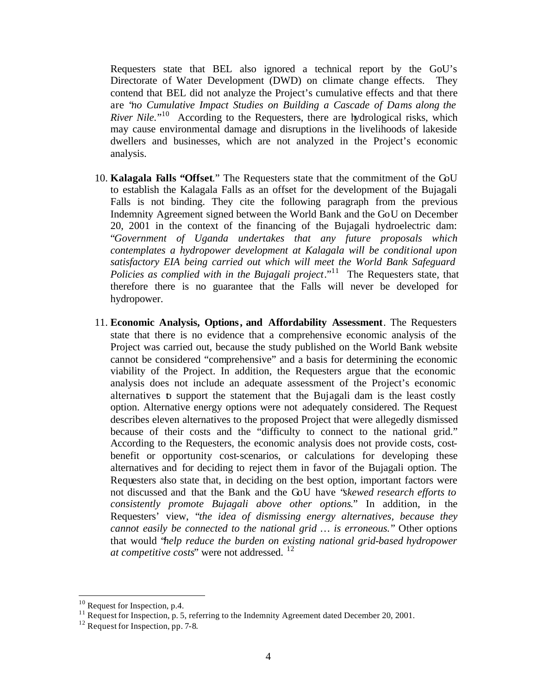Requesters state that BEL also ignored a technical report by the GoU's Directorate of Water Development (DWD) on climate change effects. They contend that BEL did not analyze the Project's cumulative effects and that there are "*no Cumulative Impact Studies on Building a Cascade of Dams along the River Nile*."<sup>10</sup> According to the Requesters, there are hydrological risks, which may cause environmental damage and disruptions in the livelihoods of lakeside dwellers and businesses, which are not analyzed in the Project's economic analysis.

- 10. **Kalagala Falls "Offset**." The Requesters state that the commitment of the GoU to establish the Kalagala Falls as an offset for the development of the Bujagali Falls is not binding. They cite the following paragraph from the previous Indemnity Agreement signed between the World Bank and the GoU on December 20, 2001 in the context of the financing of the Bujagali hydroelectric dam: "*Government of Uganda undertakes that any future proposals which contemplates a hydropower development at Kalagala will be conditional upon satisfactory EIA being carried out which will meet the World Bank Safeguard Policies as complied with in the Bujagali project*."<sup>11</sup> The Requesters state, that therefore there is no guarantee that the Falls will never be developed for hydropower.
- 11. **Economic Analysis, Options, and Affordability Assessment**. The Requesters state that there is no evidence that a comprehensive economic analysis of the Project was carried out, because the study published on the World Bank website cannot be considered "comprehensive" and a basis for determining the economic viability of the Project. In addition, the Requesters argue that the economic analysis does not include an adequate assessment of the Project's economic alternatives to support the statement that the Bujagali dam is the least costly option. Alternative energy options were not adequately considered. The Request describes eleven alternatives to the proposed Project that were allegedly dismissed because of their costs and the "difficulty to connect to the national grid." According to the Requesters, the economic analysis does not provide costs, costbenefit or opportunity cost-scenarios, or calculations for developing these alternatives and for deciding to reject them in favor of the Bujagali option. The Requesters also state that, in deciding on the best option, important factors were not discussed and that the Bank and the GoU have "*skewed research efforts to consistently promote Bujagali above other options*." In addition, in the Requesters' view, "*the idea of dismissing energy alternatives, because they cannot easily be connected to the national grid … is erroneous.*" Other options that would "*help reduce the burden on existing national grid-based hydropower at competitive costs*" were not addressed. <sup>12</sup>

 $10$  Request for Inspection, p.4.

<sup>&</sup>lt;sup>11</sup> Request for Inspection, p. 5, referring to the Indemnity Agreement dated December 20, 2001.

 $12$  Request for Inspection, pp. 7-8.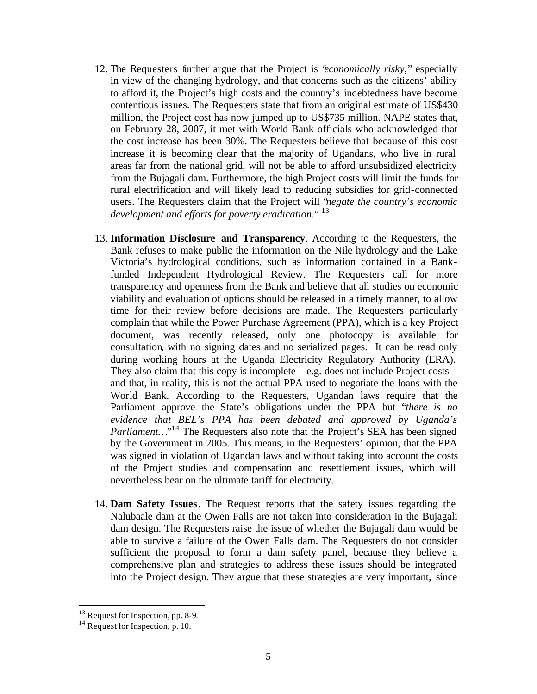- 12. The Requesters further argue that the Project is "*economically risky,*" especially in view of the changing hydrology, and that concerns such as the citizens' ability to afford it, the Project's high costs and the country's indebtedness have become contentious issues. The Requesters state that from an original estimate of US\$430 million, the Project cost has now jumped up to US\$735 million. NAPE states that, on February 28, 2007, it met with World Bank officials who acknowledged that the cost increase has been 30%. The Requesters believe that because of this cost increase it is becoming clear that the majority of Ugandans, who live in rural areas far from the national grid, will not be able to afford unsubsidized electricity from the Bujagali dam. Furthermore, the high Project costs will limit the funds for rural electrification and will likely lead to reducing subsidies for grid-connected users. The Requesters claim that the Project will "*negate the country's economic development and efforts for poverty eradication*." 13
- 13. **Information Disclosure and Transparency**. According to the Requesters, the Bank refuses to make public the information on the Nile hydrology and the Lake Victoria's hydrological conditions, such as information contained in a Bankfunded Independent Hydrological Review. The Requesters call for more transparency and openness from the Bank and believe that all studies on economic viability and evaluation of options should be released in a timely manner, to allow time for their review before decisions are made. The Requesters particularly complain that while the Power Purchase Agreement (PPA), which is a key Project document, was recently released, only one photocopy is available for consultation, with no signing dates and no serialized pages. It can be read only during working hours at the Uganda Electricity Regulatory Authority (ERA). They also claim that this copy is incomplete  $-$  e.g. does not include Project costs  $$ and that, in reality, this is not the actual PPA used to negotiate the loans with the World Bank. According to the Requesters, Ugandan laws require that the Parliament approve the State's obligations under the PPA but "*there is no evidence that BEL's PPA has been debated and approved by Uganda's* Parliament..."<sup>14</sup> The Requesters also note that the Project's SEA has been signed by the Government in 2005. This means, in the Requesters' opinion, that the PPA was signed in violation of Ugandan laws and without taking into account the costs of the Project studies and compensation and resettlement issues, which will nevertheless bear on the ultimate tariff for electricity.
- 14. **Dam Safety Issues**. The Request reports that the safety issues regarding the Nalubaale dam at the Owen Falls are not taken into consideration in the Bujagali dam design. The Requesters raise the issue of whether the Bujagali dam would be able to survive a failure of the Owen Falls dam. The Requesters do not consider sufficient the proposal to form a dam safety panel, because they believe a comprehensive plan and strategies to address these issues should be integrated into the Project design. They argue that these strategies are very important, since

 $13$  Request for Inspection, pp. 8-9.

<sup>&</sup>lt;sup>14</sup> Request for Inspection, p. 10.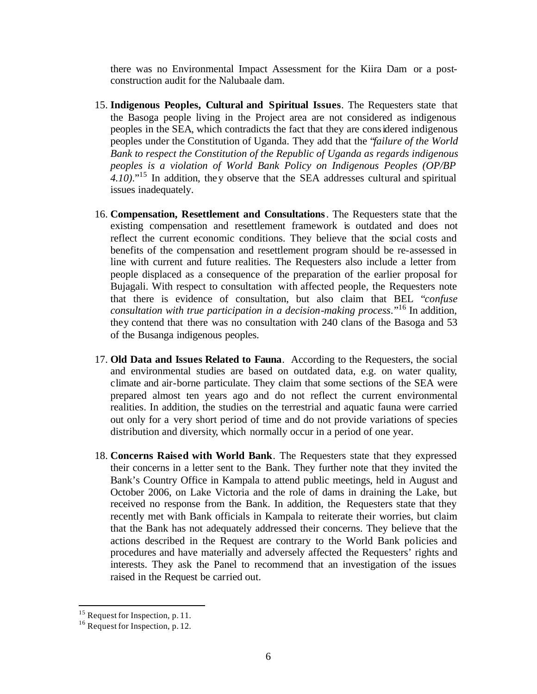there was no Environmental Impact Assessment for the Kiira Dam or a postconstruction audit for the Nalubaale dam.

- 15. **Indigenous Peoples, Cultural and Spiritual Issues**. The Requesters state that the Basoga people living in the Project area are not considered as indigenous peoples in the SEA, which contradicts the fact that they are considered indigenous peoples under the Constitution of Uganda. They add that the "*failure of the World Bank to respect the Constitution of the Republic of Uganda as regards indigenous peoples is a violation of World Bank Policy on Indigenous Peoples (OP/BP 4.10)*."<sup>15</sup> In addition, they observe that the SEA addresses cultural and spiritual issues inadequately.
- 16. **Compensation, Resettlement and Consultations**. The Requesters state that the existing compensation and resettlement framework is outdated and does not reflect the current economic conditions. They believe that the social costs and benefits of the compensation and resettlement program should be re-assessed in line with current and future realities. The Requesters also include a letter from people displaced as a consequence of the preparation of the earlier proposal for Bujagali. With respect to consultation with affected people, the Requesters note that there is evidence of consultation, but also claim that BEL "*confuse consultation with true participation in a decision-making process*."<sup>16</sup> In addition, they contend that there was no consultation with 240 clans of the Basoga and 53 of the Busanga indigenous peoples.
- 17. **Old Data and Issues Related to Fauna**. According to the Requesters, the social and environmental studies are based on outdated data, e.g. on water quality, climate and air-borne particulate. They claim that some sections of the SEA were prepared almost ten years ago and do not reflect the current environmental realities. In addition, the studies on the terrestrial and aquatic fauna were carried out only for a very short period of time and do not provide variations of species distribution and diversity, which normally occur in a period of one year.
- 18. **Concerns Raised with World Bank**. The Requesters state that they expressed their concerns in a letter sent to the Bank. They further note that they invited the Bank's Country Office in Kampala to attend public meetings, held in August and October 2006, on Lake Victoria and the role of dams in draining the Lake, but received no response from the Bank. In addition, the Requesters state that they recently met with Bank officials in Kampala to reiterate their worries, but claim that the Bank has not adequately addressed their concerns. They believe that the actions described in the Request are contrary to the World Bank policies and procedures and have materially and adversely affected the Requesters' rights and interests. They ask the Panel to recommend that an investigation of the issues raised in the Request be carried out.

 $15$  Request for Inspection, p. 11.

<sup>&</sup>lt;sup>16</sup> Request for Inspection, p. 12.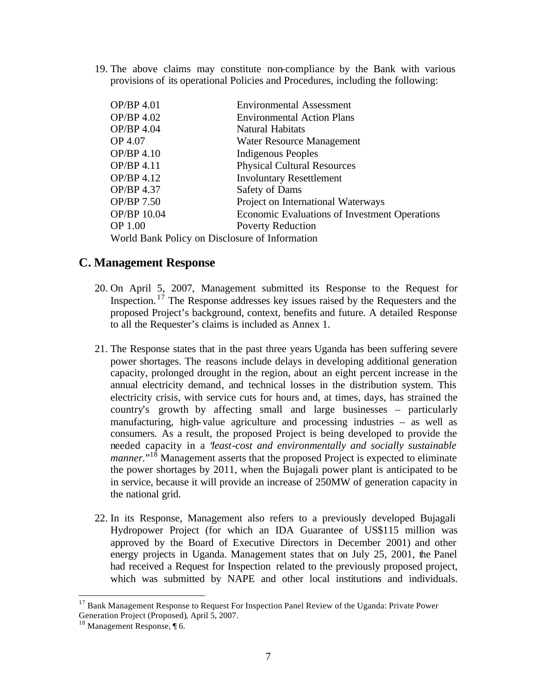19. The above claims may constitute non-compliance by the Bank with various provisions of its operational Policies and Procedures, including the following:

| OP/BP 4.01                                     | <b>Environmental Assessment</b>                      |
|------------------------------------------------|------------------------------------------------------|
| OP/BP 4.02                                     | <b>Environmental Action Plans</b>                    |
| OP/BP 4.04                                     | Natural Habitats                                     |
| OP 4.07                                        | Water Resource Management                            |
| OP/BP 4.10                                     | <b>Indigenous Peoples</b>                            |
| OP/BP 4.11                                     | <b>Physical Cultural Resources</b>                   |
| OP/BP 4.12                                     | <b>Involuntary Resettlement</b>                      |
| OP/BP 4.37                                     | <b>Safety of Dams</b>                                |
| OP/BP 7.50                                     | Project on International Waterways                   |
| OP/BP 10.04                                    | <b>Economic Evaluations of Investment Operations</b> |
| <b>OP 1.00</b>                                 | <b>Poverty Reduction</b>                             |
| World Bank Policy on Disclosure of Information |                                                      |

### **C. Management Response**

- 20. On April 5, 2007, Management submitted its Response to the Request for Inspection. <sup>17</sup> The Response addresses key issues raised by the Requesters and the proposed Project's background, context, benefits and future. A detailed Response to all the Requester's claims is included as Annex 1.
- 21. The Response states that in the past three years Uganda has been suffering severe power shortages. The reasons include delays in developing additional generation capacity, prolonged drought in the region, about an eight percent increase in the annual electricity demand, and technical losses in the distribution system. This electricity crisis, with service cuts for hours and, at times, days, has strained the country's growth by affecting small and large businesses – particularly manufacturing, high-value agriculture and processing industries – as well as consumers. As a result, the proposed Project is being developed to provide the needed capacity in a "*least-cost and environmentally and socially sustainable*  manner."<sup>18</sup> Management asserts that the proposed Project is expected to eliminate the power shortages by 2011, when the Bujagali power plant is anticipated to be in service, because it will provide an increase of 250MW of generation capacity in the national grid.
- 22. In its Response, Management also refers to a previously developed Bujagali Hydropower Project (for which an IDA Guarantee of US\$115 million was approved by the Board of Executive Directors in December 2001) and other energy projects in Uganda. Management states that on July 25, 2001, the Panel had received a Request for Inspection related to the previously proposed project, which was submitted by NAPE and other local institutions and individuals.

<sup>&</sup>lt;sup>17</sup> Bank Management Response to Request For Inspection Panel Review of the Uganda: Private Power Generation Project (Proposed), April 5, 2007.

<sup>18</sup> Management Response, ¶ 6.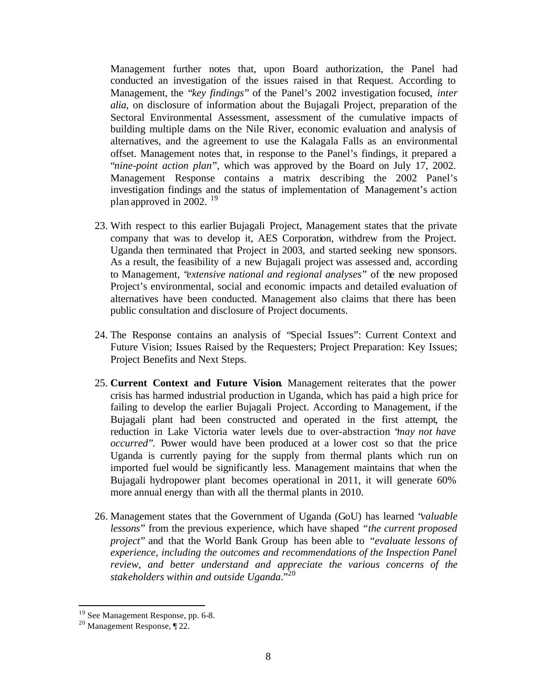Management further notes that, upon Board authorization, the Panel had conducted an investigation of the issues raised in that Request. According to Management, the "*key findings*" of the Panel's 2002 investigation focused, *inter alia*, on disclosure of information about the Bujagali Project, preparation of the Sectoral Environmental Assessment, assessment of the cumulative impacts of building multiple dams on the Nile River, economic evaluation and analysis of alternatives, and the agreement to use the Kalagala Falls as an environmental offset. Management notes that, in response to the Panel's findings, it prepared a "*nine-point action plan*", which was approved by the Board on July 17, 2002. Management Response contains a matrix describing the 2002 Panel's investigation findings and the status of implementation of Management's action plan approved in 2002.<sup>19</sup>

- 23. With respect to this earlier Bujagali Project, Management states that the private company that was to develop it, AES Corporation, withdrew from the Project. Uganda then terminated that Project in 2003, and started seeking new sponsors. As a result, the feasibility of a new Bujagali project was assessed and, according to Management, "*extensive national and regional analyses*" of the new proposed Project's environmental, social and economic impacts and detailed evaluation of alternatives have been conducted. Management also claims that there has been public consultation and disclosure of Project documents.
- 24. The Response contains an analysis of "Special Issues": Current Context and Future Vision; Issues Raised by the Requesters; Project Preparation: Key Issues; Project Benefits and Next Steps.
- 25. **Current Context and Future Vision**. Management reiterates that the power crisis has harmed industrial production in Uganda, which has paid a high price for failing to develop the earlier Bujagali Project. According to Management, if the Bujagali plant had been constructed and operated in the first attempt, the reduction in Lake Victoria water levels due to over-abstraction "*may not have occurred*". Power would have been produced at a lower cost so that the price Uganda is currently paying for the supply from thermal plants which run on imported fuel would be significantly less. Management maintains that when the Bujagali hydropower plant becomes operational in 2011, it will generate 60% more annual energy than with all the thermal plants in 2010.
- 26. Management states that the Government of Uganda (GoU) has learned "*valuable lessons*" from the previous experience, which have shaped *"the current proposed project*" and that the World Bank Group has been able to "*evaluate lessons of experience, including the outcomes and recommendations of the Inspection Panel review, and better understand and appreciate the various concerns of the stakeholders within and outside Uganda*." 20

<sup>&</sup>lt;sup>19</sup> See Management Response, pp. 6-8.

<sup>20</sup> Management Response, ¶ 22.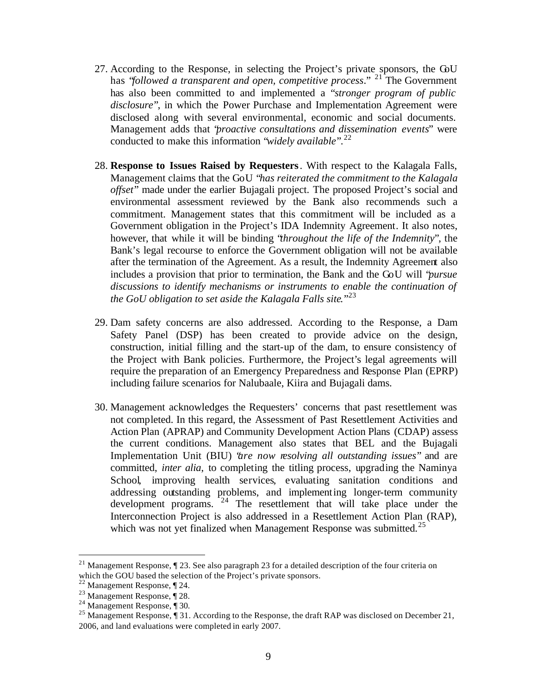- 27. According to the Response, in selecting the Project's private sponsors, the GoU has "*followed a transparent and open, competitive process*." <sup>21</sup> The Government has also been committed to and implemented a "*stronger program of public disclosure*", in which the Power Purchase and Implementation Agreement were disclosed along with several environmental, economic and social documents. Management adds that "*proactive consultations and dissemination events*" were conducted to make this information "*widely available*".<sup>22</sup>
- 28. **Response to Issues Raised by Requesters**. With respect to the Kalagala Falls, Management claims that the GoU "*has reiterated the commitment to the Kalagala offset*" made under the earlier Bujagali project. The proposed Project's social and environmental assessment reviewed by the Bank also recommends such a commitment. Management states that this commitment will be included as a Government obligation in the Project's IDA Indemnity Agreement. It also notes, however, that while it will be binding "*throughout the life of the Indemnity*", the Bank's legal recourse to enforce the Government obligation will not be available after the termination of the Agreement. As a result, the Indemnity Agreement also includes a provision that prior to termination, the Bank and the GoU will "*pursue discussions to identify mechanisms or instruments to enable the continuation of the GoU obligation to set aside the Kalagala Falls site.*" 23
- 29. Dam safety concerns are also addressed. According to the Response, a Dam Safety Panel (DSP) has been created to provide advice on the design, construction, initial filling and the start-up of the dam, to ensure consistency of the Project with Bank policies. Furthermore, the Project's legal agreements will require the preparation of an Emergency Preparedness and Response Plan (EPRP) including failure scenarios for Nalubaale, Kiira and Bujagali dams.
- 30. Management acknowledges the Requesters' concerns that past resettlement was not completed. In this regard, the Assessment of Past Resettlement Activities and Action Plan (APRAP) and Community Development Action Plans (CDAP) assess the current conditions. Management also states that BEL and the Bujagali Implementation Unit (BIU) "*are now resolving all outstanding issues*" and are committed, *inter alia*, to completing the titling process, upgrading the Naminya School, improving health services, evaluating sanitation conditions and addressing outstanding problems, and implementing longer-term community development programs. <sup>24</sup> The resettlement that will take place under the Interconnection Project is also addressed in a Resettlement Action Plan (RAP), which was not yet finalized when Management Response was submitted.<sup>25</sup>

<sup>21</sup> Management Response, ¶ 23. See also paragraph 23 for a detailed description of the four criteria on which the GOU based the selection of the Project's private sponsors.

 $22$  Management Response,  $\P$  24.

<sup>23</sup> Management Response, ¶ 28.

<sup>24</sup> Management Response, ¶ 30.

<sup>&</sup>lt;sup>25</sup> Management Response,  $\parallel$  31. According to the Response, the draft RAP was disclosed on December 21, 2006, and land evaluations were completed in early 2007.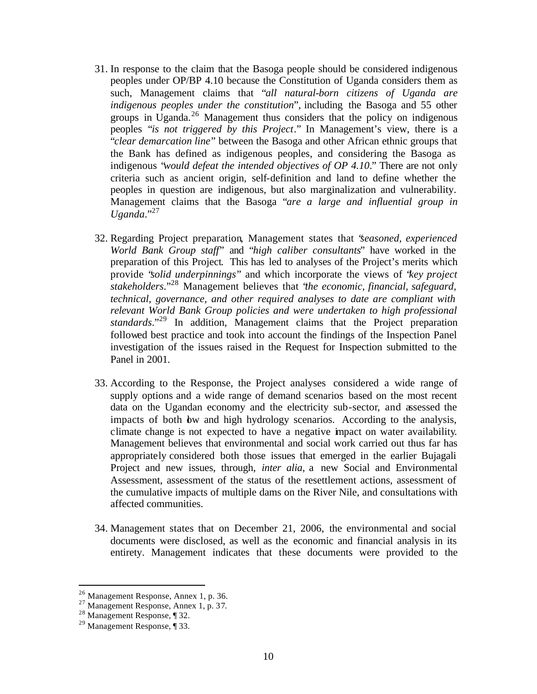- 31. In response to the claim that the Basoga people should be considered indigenous peoples under OP/BP 4.10 because the Constitution of Uganda considers them as such, Management claims that "*all natural-born citizens of Uganda are indigenous peoples under the constitution*", including the Basoga and 55 other groups in Uganda.<sup>26</sup> Management thus considers that the policy on indigenous peoples "*is not triggered by this Project*." In Management's view, there is a "*clear demarcation line*" between the Basoga and other African ethnic groups that the Bank has defined as indigenous peoples, and considering the Basoga as indigenous "*would defeat the intended objectives of OP 4.10*." There are not only criteria such as ancient origin, self-definition and land to define whether the peoples in question are indigenous, but also marginalization and vulnerability. Management claims that the Basoga "*are a large and influential group in Uganda*."<sup>27</sup>
- 32. Regarding Project preparation, Management states that "*seasoned, experienced World Bank Group staff*" and "*high caliber consultants*" have worked in the preparation of this Project. This has led to analyses of the Project's merits which provide "*solid underpinnings*" and which incorporate the views of "*key project stakeholders*."<sup>28</sup> Management believes that "*the economic, financial, safeguard, technical, governance, and other required analyses to date are compliant with relevant World Bank Group policies and were undertaken to high professional standards*."<sup>29</sup> In addition, Management claims that the Project preparation followed best practice and took into account the findings of the Inspection Panel investigation of the issues raised in the Request for Inspection submitted to the Panel in 2001.
- 33. According to the Response, the Project analyses considered a wide range of supply options and a wide range of demand scenarios based on the most recent data on the Ugandan economy and the electricity sub-sector, and assessed the impacts of both bw and high hydrology scenarios. According to the analysis, climate change is not expected to have a negative impact on water availability. Management believes that environmental and social work carried out thus far has appropriately considered both those issues that emerged in the earlier Bujagali Project and new issues, through, *inter alia*, a new Social and Environmental Assessment, assessment of the status of the resettlement actions, assessment of the cumulative impacts of multiple dams on the River Nile, and consultations with affected communities.
- 34. Management states that on December 21, 2006, the environmental and social documents were disclosed, as well as the economic and financial analysis in its entirety. Management indicates that these documents were provided to the

 $2<sup>26</sup>$  Management Response, Annex 1, p. 36.

<sup>&</sup>lt;sup>27</sup> Management Response, Annex 1, p. 37.

<sup>28</sup> Management Response, ¶ 32.

<sup>29</sup> Management Response, ¶ 33.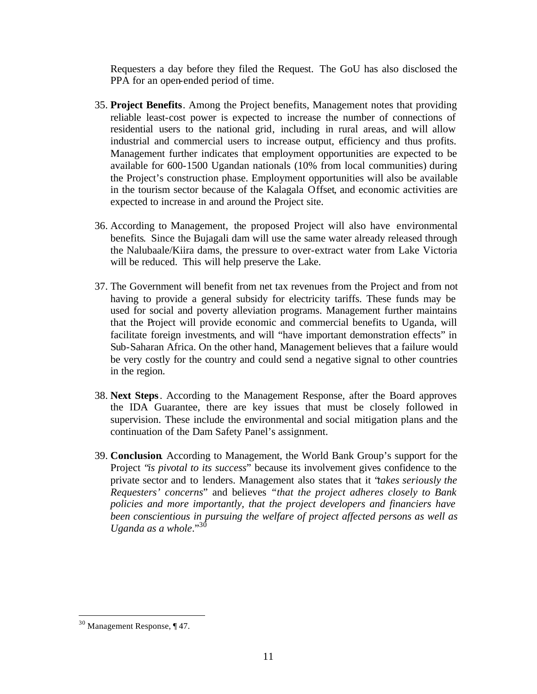Requesters a day before they filed the Request. The GoU has also disclosed the PPA for an open-ended period of time.

- 35. **Project Benefits**. Among the Project benefits, Management notes that providing reliable least-cost power is expected to increase the number of connections of residential users to the national grid, including in rural areas, and will allow industrial and commercial users to increase output, efficiency and thus profits. Management further indicates that employment opportunities are expected to be available for 600-1500 Ugandan nationals (10% from local communities) during the Project's construction phase. Employment opportunities will also be available in the tourism sector because of the Kalagala Offset, and economic activities are expected to increase in and around the Project site.
- 36. According to Management, the proposed Project will also have environmental benefits. Since the Bujagali dam will use the same water already released through the Nalubaale/Kiira dams, the pressure to over-extract water from Lake Victoria will be reduced. This will help preserve the Lake.
- 37. The Government will benefit from net tax revenues from the Project and from not having to provide a general subsidy for electricity tariffs. These funds may be used for social and poverty alleviation programs. Management further maintains that the Project will provide economic and commercial benefits to Uganda, will facilitate foreign investments, and will "have important demonstration effects" in Sub-Saharan Africa. On the other hand, Management believes that a failure would be very costly for the country and could send a negative signal to other countries in the region.
- 38. **Next Steps**. According to the Management Response, after the Board approves the IDA Guarantee, there are key issues that must be closely followed in supervision. These include the environmental and social mitigation plans and the continuation of the Dam Safety Panel's assignment.
- 39. **Conclusion**. According to Management, the World Bank Group's support for the Project "*is pivotal to its success*" because its involvement gives confidence to the private sector and to lenders. Management also states that it "*takes seriously the Requesters' concerns*" and believes *"that the project adheres closely to Bank policies and more importantly, that the project developers and financiers have been conscientious in pursuing the welfare of project affected persons as well as Uganda as a whole*."<sup>30</sup>

<sup>30</sup> Management Response, ¶ 47.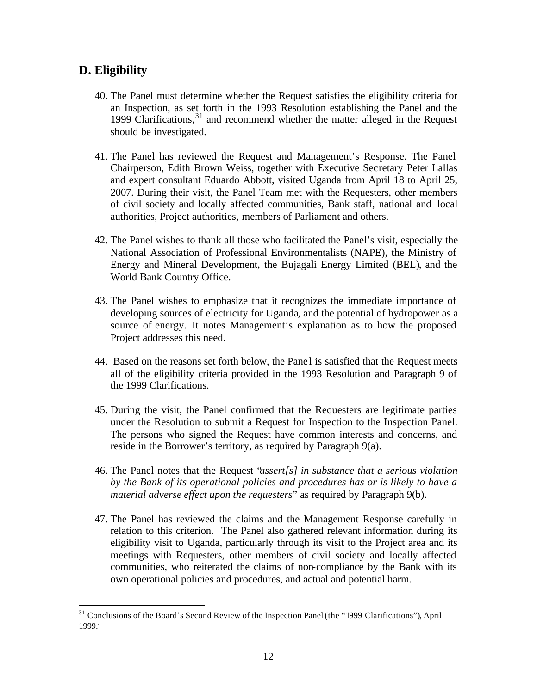# **D. Eligibility**

- 40. The Panel must determine whether the Request satisfies the eligibility criteria for an Inspection, as set forth in the 1993 Resolution establishing the Panel and the 1999 Clarifications, <sup>31</sup> and recommend whether the matter alleged in the Request should be investigated.
- 41. The Panel has reviewed the Request and Management's Response. The Panel Chairperson, Edith Brown Weiss, together with Executive Secretary Peter Lallas and expert consultant Eduardo Abbott, visited Uganda from April 18 to April 25, 2007. During their visit, the Panel Team met with the Requesters, other members of civil society and locally affected communities, Bank staff, national and local authorities, Project authorities, members of Parliament and others.
- 42. The Panel wishes to thank all those who facilitated the Panel's visit, especially the National Association of Professional Environmentalists (NAPE), the Ministry of Energy and Mineral Development, the Bujagali Energy Limited (BEL), and the World Bank Country Office.
- 43. The Panel wishes to emphasize that it recognizes the immediate importance of developing sources of electricity for Uganda, and the potential of hydropower as a source of energy. It notes Management's explanation as to how the proposed Project addresses this need.
- 44. Based on the reasons set forth below, the Pane l is satisfied that the Request meets all of the eligibility criteria provided in the 1993 Resolution and Paragraph 9 of the 1999 Clarifications.
- 45. During the visit, the Panel confirmed that the Requesters are legitimate parties under the Resolution to submit a Request for Inspection to the Inspection Panel. The persons who signed the Request have common interests and concerns, and reside in the Borrower's territory, as required by Paragraph 9(a).
- 46. The Panel notes that the Request "*assert[s] in substance that a serious violation by the Bank of its operational policies and procedures has or is likely to have a material adverse effect upon the requesters*" as required by Paragraph 9(b).
- 47. The Panel has reviewed the claims and the Management Response carefully in relation to this criterion. The Panel also gathered relevant information during its eligibility visit to Uganda, particularly through its visit to the Project area and its meetings with Requesters, other members of civil society and locally affected communities, who reiterated the claims of non-compliance by the Bank with its own operational policies and procedures, and actual and potential harm.

<sup>31</sup> Conclusions of the Board's Second Review of the Inspection Panel (the "1999 Clarifications")*,* April 1999..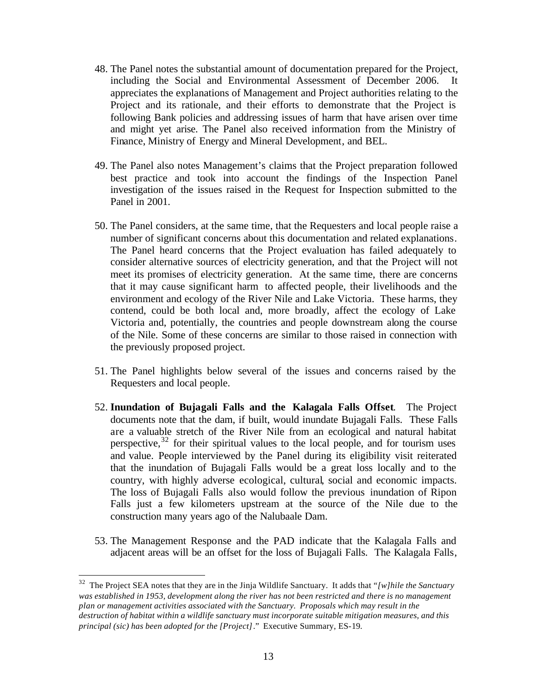- 48. The Panel notes the substantial amount of documentation prepared for the Project, including the Social and Environmental Assessment of December 2006. It appreciates the explanations of Management and Project authorities relating to the Project and its rationale, and their efforts to demonstrate that the Project is following Bank policies and addressing issues of harm that have arisen over time and might yet arise. The Panel also received information from the Ministry of Finance, Ministry of Energy and Mineral Development, and BEL.
- 49. The Panel also notes Management's claims that the Project preparation followed best practice and took into account the findings of the Inspection Panel investigation of the issues raised in the Request for Inspection submitted to the Panel in 2001.
- 50. The Panel considers, at the same time, that the Requesters and local people raise a number of significant concerns about this documentation and related explanations. The Panel heard concerns that the Project evaluation has failed adequately to consider alternative sources of electricity generation, and that the Project will not meet its promises of electricity generation. At the same time, there are concerns that it may cause significant harm to affected people, their livelihoods and the environment and ecology of the River Nile and Lake Victoria. These harms, they contend, could be both local and, more broadly, affect the ecology of Lake Victoria and, potentially, the countries and people downstream along the course of the Nile. Some of these concerns are similar to those raised in connection with the previously proposed project.
- 51. The Panel highlights below several of the issues and concerns raised by the Requesters and local people.
- 52. **Inundation of Bujagali Falls and the Kalagala Falls Offset**. The Project documents note that the dam, if built, would inundate Bujagali Falls. These Falls are a valuable stretch of the River Nile from an ecological and natural habitat perspective,  $32$  for their spiritual values to the local people, and for tourism uses and value. People interviewed by the Panel during its eligibility visit reiterated that the inundation of Bujagali Falls would be a great loss locally and to the country, with highly adverse ecological, cultural, social and economic impacts. The loss of Bujagali Falls also would follow the previous inundation of Ripon Falls just a few kilometers upstream at the source of the Nile due to the construction many years ago of the Nalubaale Dam.
- 53. The Management Response and the PAD indicate that the Kalagala Falls and adjacent areas will be an offset for the loss of Bujagali Falls. The Kalagala Falls,

<sup>32</sup> The Project SEA notes that they are in the Jinja Wildlife Sanctuary. It adds that *"[w]hile the Sanctuary was established in 1953, development along the river has not been restricted and there is no management plan or management activities associated with the Sanctuary. Proposals which may result in the destruction of habitat within a wildlife sanctuary must incorporate suitable mitigation measures, and this principal (sic) has been adopted for the [Project]*." Executive Summary, ES-19.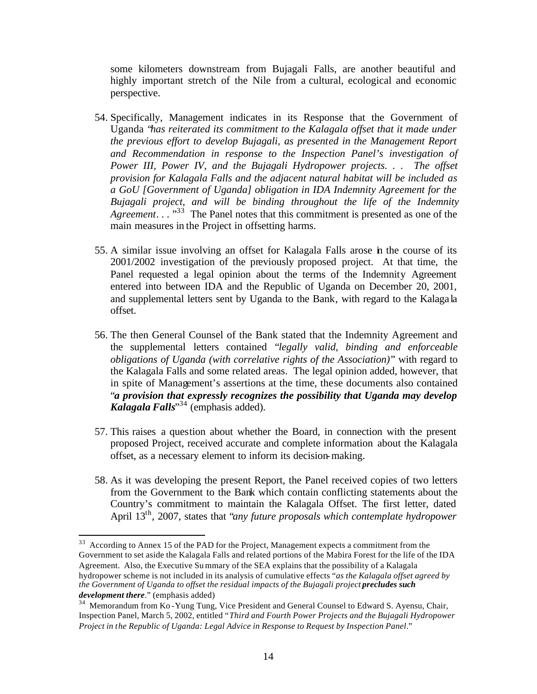some kilometers downstream from Bujagali Falls, are another beautiful and highly important stretch of the Nile from a cultural, ecological and economic perspective.

- 54. Specifically, Management indicates in its Response that the Government of Uganda "*has reiterated its commitment to the Kalagala offset that it made under the previous effort to develop Bujagali, as presented in the Management Report and Recommendation in response to the Inspection Panel's investigation of Power III, Power IV, and the Bujagali Hydropower projects. . . The offset provision for Kalagala Falls and the adjacent natural habitat will be included as a GoU [Government of Uganda] obligation in IDA Indemnity Agreement for the Bujagali project, and will be binding throughout the life of the Indemnity Agreement.* . . . .<sup>33</sup> The Panel notes that this commitment is presented as one of the main measures in the Project in offsetting harms.
- 55. A similar issue involving an offset for Kalagala Falls arose in the course of its 2001/2002 investigation of the previously proposed project. At that time, the Panel requested a legal opinion about the terms of the Indemnity Agreement entered into between IDA and the Republic of Uganda on December 20, 2001, and supplemental letters sent by Uganda to the Bank, with regard to the Kalaga la offset.
- 56. The then General Counsel of the Bank stated that the Indemnity Agreement and the supplemental letters contained "*legally valid, binding and enforceable obligations of Uganda (with correlative rights of the Association)*" with regard to the Kalagala Falls and some related areas. The legal opinion added, however, that in spite of Management's assertions at the time, these documents also contained "*a provision that expressly recognizes the possibility that Uganda may develop Kalagala Falls*" <sup>34</sup> (emphasis added).
- 57. This raises a question about whether the Board, in connection with the present proposed Project, received accurate and complete information about the Kalagala offset, as a necessary element to inform its decision-making.
- 58. As it was developing the present Report, the Panel received copies of two letters from the Government to the Bank which contain conflicting statements about the Country's commitment to maintain the Kalagala Offset. The first letter, dated April 13th, 2007, states that "*any future proposals which contemplate hydropower*

<sup>&</sup>lt;sup>33</sup> According to Annex 15 of the PAD for the Project, Management expects a commitment from the Government to set aside the Kalagala Falls and related portions of the Mabira Forest for the life of the IDA Agreement. Also, the Executive Su mmary of the SEA explains that the possibility of a Kalagala hydropower scheme is not included in its analysis of cumulative effects "*as the Kalagala offset agreed by the Government of Uganda to offset the residual impacts of the Bujagali project precludes such development there*." (emphasis added)

<sup>&</sup>lt;sup>34</sup> Memorandum from Ko - Yung Tung, Vice President and General Counsel to Edward S. Ayensu, Chair, Inspection Panel, March 5, 2002, entitled "*Third and Fourth Power Projects and the Bujagali Hydropower Project in the Republic of Uganda: Legal Advice in Response to Request by Inspection Panel*."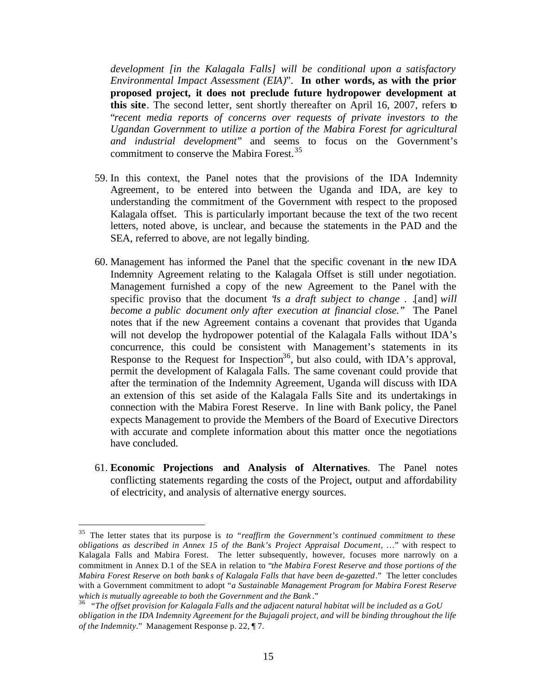*development [in the Kalagala Falls] will be conditional upon a satisfactory Environmental Impact Assessment (EIA)*". **In other words, as with the prior proposed project, it does not preclude future hydropower development at this site**. The second letter, sent shortly thereafter on April 16, 2007, refers to "*recent media reports of concerns over requests of private investors to the Ugandan Government to utilize a portion of the Mabira Forest for agricultural and industrial development*" and seems to focus on the Government's commitment to conserve the Mabira Forest.<sup>35</sup>

- 59. In this context, the Panel notes that the provisions of the IDA Indemnity Agreement, to be entered into between the Uganda and IDA, are key to understanding the commitment of the Government with respect to the proposed Kalagala offset. This is particularly important because the text of the two recent letters, noted above, is unclear, and because the statements in the PAD and the SEA, referred to above, are not legally binding.
- 60. Management has informed the Panel that the specific covenant in the new IDA Indemnity Agreement relating to the Kalagala Offset is still under negotiation. Management furnished a copy of the new Agreement to the Panel with the specific proviso that the document "*is a draft subject to change . .*[and] *will become a public document only after execution at financial close."* The Panel notes that if the new Agreement contains a covenant that provides that Uganda will not develop the hydropower potential of the Kalagala Falls without IDA's concurrence, this could be consistent with Management's statements in its Response to the Request for Inspection<sup>36</sup>, but also could, with IDA's approval, permit the development of Kalagala Falls. The same covenant could provide that after the termination of the Indemnity Agreement, Uganda will discuss with IDA an extension of this set aside of the Kalagala Falls Site and its undertakings in connection with the Mabira Forest Reserve. In line with Bank policy, the Panel expects Management to provide the Members of the Board of Executive Directors with accurate and complete information about this matter once the negotiations have concluded.
- 61. **Economic Projections and Analysis of Alternatives**. The Panel notes conflicting statements regarding the costs of the Project, output and affordability of electricity, and analysis of alternative energy sources.

<sup>35</sup> The letter states that its purpose is *to "reaffirm the Government's continued commitment to these obligations as described in Annex 15 of the Bank's Project Appraisal Document,* …" with respect to Kalagala Falls and Mabira Forest. The letter subsequently, however, focuses more narrowly on a commitment in Annex D.1 of the SEA in relation to "*the Mabira Forest Reserve and those portions of the Mabira Forest Reserve on both bank s of Kalagala Falls that have been de-gazetted*." The letter concludes with a Government commitment to adopt "*a Sustainable Management Program for Mabira Forest Reserve which is mutually agreeable to both the Government and the Bank* ."

<sup>36</sup> "*The offset provision for Kalagala Falls and the adjacent natural habitat will be included as a GoU obligation in the IDA Indemnity Agreement for the Bujagali project, and will be binding throughout the life of the Indemnity*." Management Response p. 22, ¶ 7.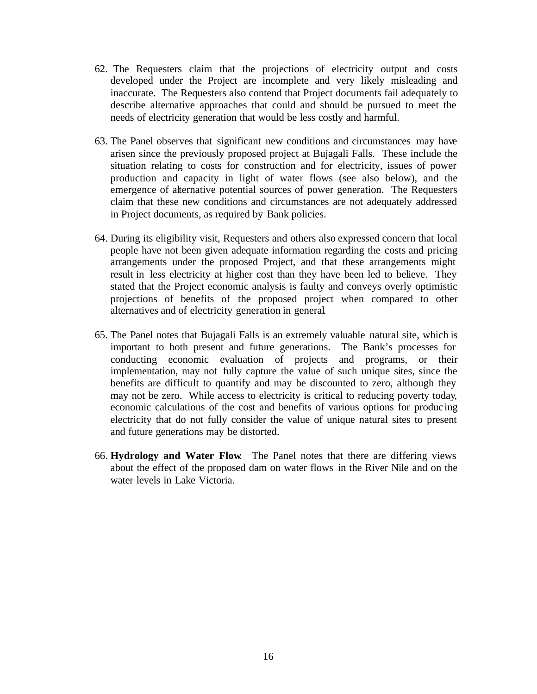- 62. The Requesters claim that the projections of electricity output and costs developed under the Project are incomplete and very likely misleading and inaccurate. The Requesters also contend that Project documents fail adequately to describe alternative approaches that could and should be pursued to meet the needs of electricity generation that would be less costly and harmful.
- 63. The Panel observes that significant new conditions and circumstances may have arisen since the previously proposed project at Bujagali Falls. These include the situation relating to costs for construction and for electricity, issues of power production and capacity in light of water flows (see also below), and the emergence of alternative potential sources of power generation. The Requesters claim that these new conditions and circumstances are not adequately addressed in Project documents, as required by Bank policies.
- 64. During its eligibility visit, Requesters and others also expressed concern that local people have not been given adequate information regarding the costs and pricing arrangements under the proposed Project, and that these arrangements might result in less electricity at higher cost than they have been led to believe. They stated that the Project economic analysis is faulty and conveys overly optimistic projections of benefits of the proposed project when compared to other alternatives and of electricity generation in general.
- 65. The Panel notes that Bujagali Falls is an extremely valuable natural site, which is important to both present and future generations. The Bank's processes for conducting economic evaluation of projects and programs, or their implementation, may not fully capture the value of such unique sites, since the benefits are difficult to quantify and may be discounted to zero, although they may not be zero. While access to electricity is critical to reducing poverty today, economic calculations of the cost and benefits of various options for produc ing electricity that do not fully consider the value of unique natural sites to present and future generations may be distorted.
- 66. **Hydrology and Water Flow**. The Panel notes that there are differing views about the effect of the proposed dam on water flows in the River Nile and on the water levels in Lake Victoria.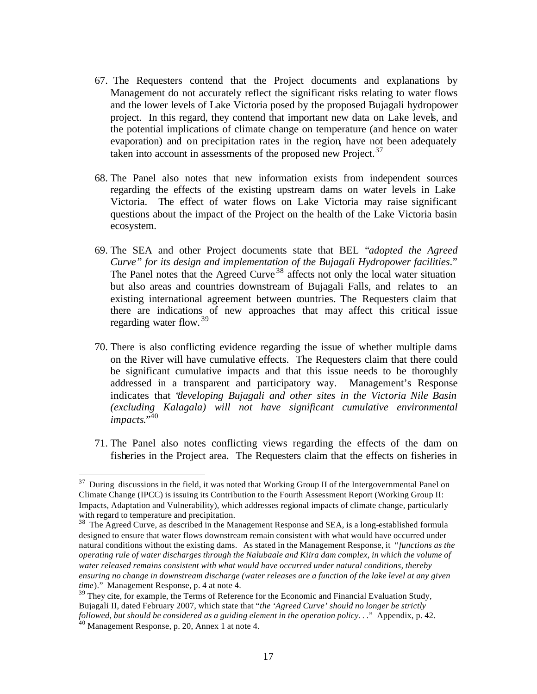- 67. The Requesters contend that the Project documents and explanations by Management do not accurately reflect the significant risks relating to water flows and the lower levels of Lake Victoria posed by the proposed Bujagali hydropower project. In this regard, they contend that important new data on Lake levels, and the potential implications of climate change on temperature (and hence on water evaporation) and on precipitation rates in the region, have not been adequately taken into account in assessments of the proposed new Project.<sup>37</sup>
- 68. The Panel also notes that new information exists from independent sources regarding the effects of the existing upstream dams on water levels in Lake Victoria. The effect of water flows on Lake Victoria may raise significant questions about the impact of the Project on the health of the Lake Victoria basin ecosystem.
- 69. The SEA and other Project documents state that BEL "*adopted the Agreed Curve" for its design and implementation of the Bujagali Hydropower facilities*." The Panel notes that the Agreed Curve  $38$  affects not only the local water situation but also areas and countries downstream of Bujagali Falls, and relates to an existing international agreement between countries. The Requesters claim that there are indications of new approaches that may affect this critical issue regarding water flow.<sup>39</sup>
- 70. There is also conflicting evidence regarding the issue of whether multiple dams on the River will have cumulative effects. The Requesters claim that there could be significant cumulative impacts and that this issue needs to be thoroughly addressed in a transparent and participatory way. Management's Response indicates that "*developing Bujagali and other sites in the Victoria Nile Basin (excluding Kalagala) will not have significant cumulative environmental impacts.*"40
- 71. The Panel also notes conflicting views regarding the effects of the dam on fisheries in the Project area. The Requesters claim that the effects on fisheries in

 $37$  During discussions in the field, it was noted that Working Group II of the Intergovernmental Panel on Climate Change (IPCC) is issuing its Contribution to the Fourth Assessment Report (Working Group II: Impacts, Adaptation and Vulnerability), which addresses regional impacts of climate change, particularly with regard to temperature and precipitation.

 $38$  The Agreed Curve, as described in the Management Response and SEA, is a long-established formula designed to ensure that water flows downstream remain consistent with what would have occurred under natural conditions without the existing dams. As stated in the Management Response, it "*functions as the operating rule of water discharges through the Nalubaale and Kiira dam complex, in which the volume of water released remains consistent with what would have occurred under natural conditions, thereby ensuring no change in downstream discharge (water releases are a function of the lake level at any given time*)." Management Response, p. 4 at note 4.

<sup>&</sup>lt;sup>39</sup> They cite, for example, the Terms of Reference for the Economic and Financial Evaluation Study, Bujagali II, dated February 2007, which state that "*the 'Agreed Curve' should no longer be strictly followed, but should be considered as a guiding element in the operation policy. . .*" Appendix, p. 42.

 $40$  Management Response, p. 20, Annex 1 at note 4.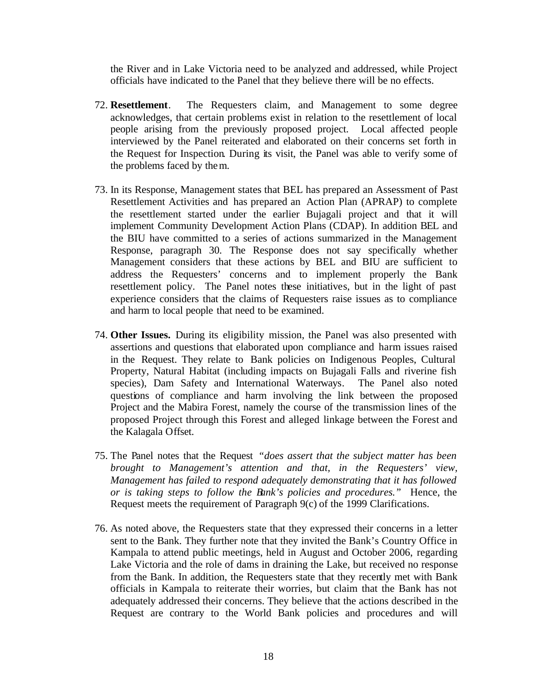the River and in Lake Victoria need to be analyzed and addressed, while Project officials have indicated to the Panel that they believe there will be no effects.

- 72. **Resettlement**. The Requesters claim, and Management to some degree acknowledges, that certain problems exist in relation to the resettlement of local people arising from the previously proposed project. Local affected people interviewed by the Panel reiterated and elaborated on their concerns set forth in the Request for Inspection. During its visit, the Panel was able to verify some of the problems faced by them.
- 73. In its Response, Management states that BEL has prepared an Assessment of Past Resettlement Activities and has prepared an Action Plan (APRAP) to complete the resettlement started under the earlier Bujagali project and that it will implement Community Development Action Plans (CDAP). In addition BEL and the BIU have committed to a series of actions summarized in the Management Response, paragraph 30. The Response does not say specifically whether Management considers that these actions by BEL and BIU are sufficient to address the Requesters' concerns and to implement properly the Bank resettlement policy. The Panel notes these initiatives, but in the light of past experience considers that the claims of Requesters raise issues as to compliance and harm to local people that need to be examined.
- 74. **Other Issues.** During its eligibility mission, the Panel was also presented with assertions and questions that elaborated upon compliance and harm issues raised in the Request. They relate to Bank policies on Indigenous Peoples, Cultural Property, Natural Habitat (including impacts on Bujagali Falls and riverine fish species), Dam Safety and International Waterways. The Panel also noted questions of compliance and harm involving the link between the proposed Project and the Mabira Forest, namely the course of the transmission lines of the proposed Project through this Forest and alleged linkage between the Forest and the Kalagala Offset.
- 75. The Panel notes that the Request *"does assert that the subject matter has been brought to Management's attention and that, in the Requesters' view, Management has failed to respond adequately demonstrating that it has followed or is taking steps to follow the Bank's policies and procedures."* Hence, the Request meets the requirement of Paragraph 9(c) of the 1999 Clarifications.
- 76. As noted above, the Requesters state that they expressed their concerns in a letter sent to the Bank. They further note that they invited the Bank's Country Office in Kampala to attend public meetings, held in August and October 2006, regarding Lake Victoria and the role of dams in draining the Lake, but received no response from the Bank. In addition, the Requesters state that they recently met with Bank officials in Kampala to reiterate their worries, but claim that the Bank has not adequately addressed their concerns. They believe that the actions described in the Request are contrary to the World Bank policies and procedures and will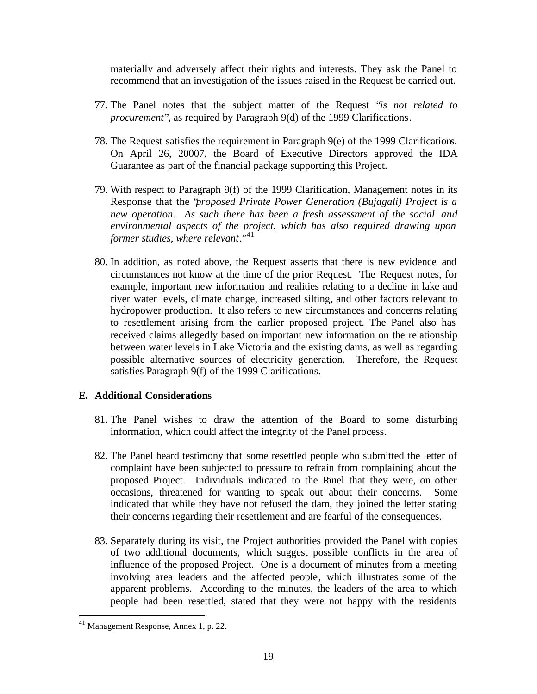materially and adversely affect their rights and interests. They ask the Panel to recommend that an investigation of the issues raised in the Request be carried out.

- 77. The Panel notes that the subject matter of the Request "*is not related to procurement*", as required by Paragraph 9(d) of the 1999 Clarifications.
- 78. The Request satisfies the requirement in Paragraph 9(e) of the 1999 Clarifications. On April 26, 20007, the Board of Executive Directors approved the IDA Guarantee as part of the financial package supporting this Project.
- 79. With respect to Paragraph 9(f) of the 1999 Clarification, Management notes in its Response that the "*proposed Private Power Generation (Bujagali) Project is a new operation. As such there has been a fresh assessment of the social and environmental aspects of the project, which has also required drawing upon former studies, where relevant.*<sup>"41</sup>
- 80. In addition, as noted above, the Request asserts that there is new evidence and circumstances not know at the time of the prior Request. The Request notes, for example, important new information and realities relating to a decline in lake and river water levels, climate change, increased silting, and other factors relevant to hydropower production. It also refers to new circumstances and concerns relating to resettlement arising from the earlier proposed project. The Panel also has received claims allegedly based on important new information on the relationship between water levels in Lake Victoria and the existing dams, as well as regarding possible alternative sources of electricity generation. Therefore, the Request satisfies Paragraph 9(f) of the 1999 Clarifications.

### **E. Additional Considerations**

- 81. The Panel wishes to draw the attention of the Board to some disturbing information, which could affect the integrity of the Panel process.
- 82. The Panel heard testimony that some resettled people who submitted the letter of complaint have been subjected to pressure to refrain from complaining about the proposed Project. Individuals indicated to the Panel that they were, on other occasions, threatened for wanting to speak out about their concerns. Some indicated that while they have not refused the dam, they joined the letter stating their concerns regarding their resettlement and are fearful of the consequences.
- 83. Separately during its visit, the Project authorities provided the Panel with copies of two additional documents, which suggest possible conflicts in the area of influence of the proposed Project. One is a document of minutes from a meeting involving area leaders and the affected people, which illustrates some of the apparent problems. According to the minutes, the leaders of the area to which people had been resettled, stated that they were not happy with the residents

<sup>41</sup> Management Response, Annex 1, p. 22.